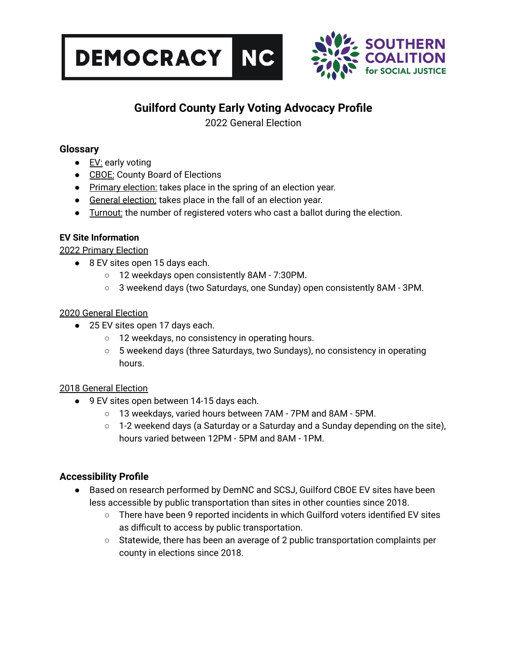



# **Guilford County Early Voting Advocacy Profile**

2022 General Election

# **Glossary**

- EV: early voting
- CBOE: County Board of Elections
- Primary election: takes place in the spring of an election year.
- General election: takes place in the fall of an election year.
- Turnout: the number of registered voters who cast a ballot during the election.

### **EV Site Information**

#### 2022 Primary Election

- 8 EV sites open 15 days each.
	- 12 weekdays open consistently 8AM 7:30PM.
	- 3 weekend days (two Saturdays, one Sunday) open consistently 8AM 3PM.

#### 2020 General Election

- 25 EV sites open 17 days each.
	- 12 weekdays, no consistency in operating hours.
	- 5 weekend days (three Saturdays, two Sundays), no consistency in operating hours.

#### 2018 General Election

- 9 EV sites open between 14-15 days each.
	- 13 weekdays, varied hours between 7AM 7PM and 8AM 5PM.
	- $\circ$  1-2 weekend days (a Saturday or a Saturday and a Sunday depending on the site), hours varied between 12PM - 5PM and 8AM - 1PM.

# **Accessibility Profile**

- Based on research performed by DemNC and SCSJ, Guilford CBOE EV sites have been less accessible by public transportation than sites in other counties since 2018.
	- There have been 9 reported incidents in which Guilford voters identified EV sites as difficult to access by public transportation.
	- Statewide, there has been an average of 2 public transportation complaints per county in elections since 2018.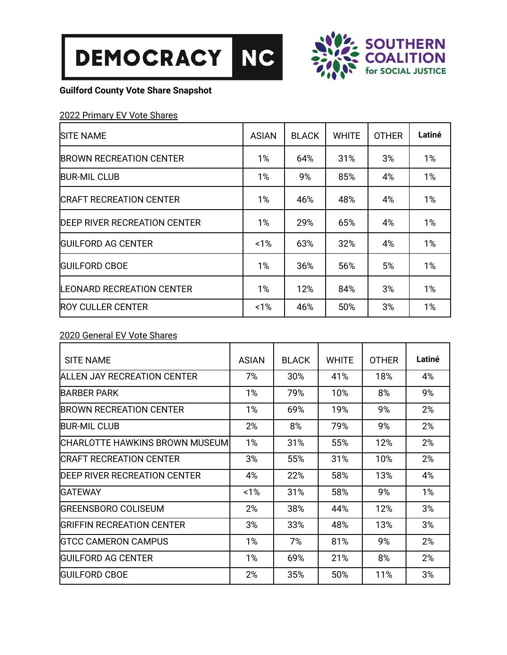



# **Guilford County Vote Share Snapshot**

### 2022 Primary EV Vote Shares

| <b>SITE NAME</b>                    | <b>ASIAN</b> | <b>BLACK</b> | <b>WHITE</b> | <b>OTHER</b> | Latiné |
|-------------------------------------|--------------|--------------|--------------|--------------|--------|
| <b>BROWN RECREATION CENTER</b>      | 1%           | 64%          | 31%          | 3%           | 1%     |
| <b>BUR-MIL CLUB</b>                 | 1%           | 9%           | 85%          | 4%           | 1%     |
| <b>CRAFT RECREATION CENTER</b>      | $1\%$        | 46%          | 48%          | 4%           | 1%     |
| <b>DEEP RIVER RECREATION CENTER</b> | 1%           | 29%          | 65%          | 4%           | 1%     |
| <b>IGUILFORD AG CENTER</b>          | $~1\%$       | 63%          | 32%          | 4%           | 1%     |
| <b>IGUILFORD CBOE</b>               | 1%           | 36%          | 56%          | 5%           | 1%     |
| <b>LEONARD RECREATION CENTER</b>    | $1\%$        | 12%          | 84%          | 3%           | 1%     |
| <b>ROY CULLER CENTER</b>            | 1%           | 46%          | 50%          | 3%           | $1\%$  |

### 2020 General EV Vote Shares

| <b>SITE NAME</b>                        | <b>ASIAN</b> | <b>BLACK</b> | <b>WHITE</b> | <b>OTHER</b> | Latiné |
|-----------------------------------------|--------------|--------------|--------------|--------------|--------|
| ALLEN JAY RECREATION CENTER             | 7%           | 30%          | 41%          | 18%          | 4%     |
| <b>BARBER PARK</b>                      | 1%           | 79%          | 10%          | 8%           | 9%     |
| <b>BROWN RECREATION CENTER</b>          | $1\%$        | 69%          | 19%          | 9%           | 2%     |
| <b>BUR-MIL CLUB</b>                     | 2%           | 8%           | 79%          | 9%           | 2%     |
| <b>ICHARLOTTE HAWKINS BROWN MUSEUMI</b> | 1%           | 31%          | 55%          | 12%          | 2%     |
| <b>ICRAFT RECREATION CENTER</b>         | 3%           | 55%          | 31%          | 10%          | 2%     |
| DEEP RIVER RECREATION CENTER            | 4%           | 22%          | 58%          | 13%          | 4%     |
| IGATEWAY                                | $1\%$        | 31%          | 58%          | 9%           | 1%     |
| <b>IGREENSBORO COLISEUM</b>             | 2%           | 38%          | 44%          | 12%          | 3%     |
| <b>GRIFFIN RECREATION CENTER</b>        | 3%           | 33%          | 48%          | 13%          | 3%     |
| <b>IGTCC CAMERON CAMPUS</b>             | $1\%$        | 7%           | 81%          | 9%           | 2%     |
| IGUILFORD AG CENTER                     | 1%           | 69%          | 21%          | 8%           | 2%     |
| IGUILFORD CBOE                          | 2%           | 35%          | 50%          | 11%          | 3%     |